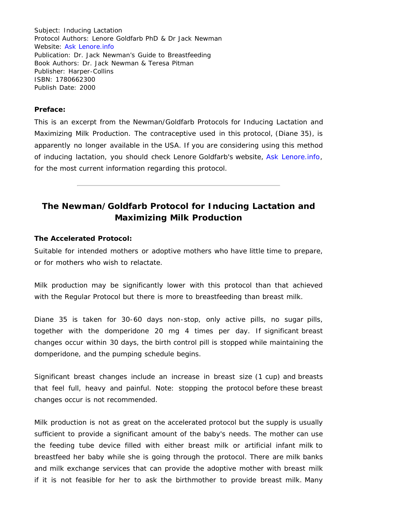Subject: Inducing Lactation Protocol Authors: Lenore Goldfarb PhD & Dr Jack Newman Website: [Ask Lenore.info](https://www.asklenore.info/) Publication: Dr. Jack Newman's Guide to Breastfeeding Book Authors: Dr. Jack Newman & Teresa Pitman Publisher: Harper-Collins ISBN: 1780662300 Publish Date: 2000

## **Preface:**

This is an excerpt from the Newman/Goldfarb Protocols for Inducing Lactation and Maximizing Milk Production. The contraceptive used in this protocol, (Diane 35), is apparently no longer available in the USA. If you are considering using this method of inducing lactation, you should check Lenore Goldfarb's website, [Ask Lenore.info](https://www.asklenore.info/), for the most current information regarding this protocol.

## **The Newman/Goldfarb Protocol for Inducing Lactation and Maximizing Milk Production**

## **The Accelerated Protocol:**

Suitable for intended mothers or adoptive mothers who have little time to prepare, or for mothers who wish to relactate.

Milk production may be significantly lower with this protocol than that achieved with the Regular Protocol but there is more to breastfeeding than breast milk.

Diane 35 is taken for 30-60 days non-stop, only active pills, no sugar pills, together with the domperidone 20 mg 4 times per day. If significant breast changes occur within 30 days, the birth control pill is stopped while maintaining the domperidone, and the pumping schedule begins.

Significant breast changes include an increase in breast size (1 cup) and breasts that feel full, heavy and painful. Note: stopping the protocol before these breast changes occur is not recommended.

Milk production is not as great on the accelerated protocol but the supply is usually sufficient to provide a significant amount of the baby's needs. The mother can use the feeding tube device filled with either breast milk or artificial infant milk to breastfeed her baby while she is going through the protocol. There are milk banks and milk exchange services that can provide the adoptive mother with breast milk if it is not feasible for her to ask the birthmother to provide breast milk. Many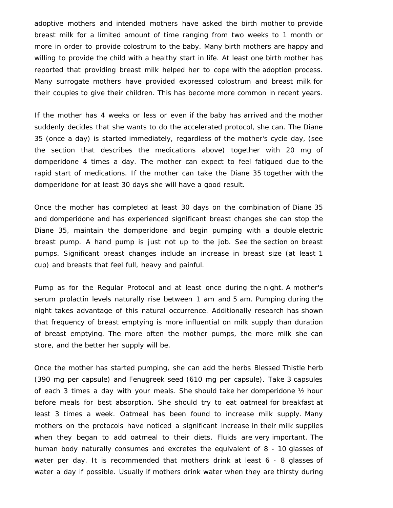adoptive mothers and intended mothers have asked the birth mother to provide breast milk for a limited amount of time ranging from two weeks to 1 month or more in order to provide colostrum to the baby. Many birth mothers are happy and willing to provide the child with a healthy start in life. At least one birth mother has reported that providing breast milk helped her to cope with the adoption process. Many surrogate mothers have provided expressed colostrum and breast milk for their couples to give their children. This has become more common in recent years.

If the mother has 4 weeks or less or even if the baby has arrived and the mother suddenly decides that she wants to do the accelerated protocol, she can. The Diane 35 (once a day) is started immediately, regardless of the mother's cycle day, (see the section that describes the medications above) together with 20 mg of domperidone 4 times a day. The mother can expect to feel fatigued due to the rapid start of medications. If the mother can take the Diane 35 together with the domperidone for at least 30 days she will have a good result.

Once the mother has completed at least 30 days on the combination of Diane 35 and domperidone and has experienced significant breast changes she can stop the Diane 35, maintain the domperidone and begin pumping with a double electric breast pump. A hand pump is just not up to the job. See the section on breast pumps. Significant breast changes include an increase in breast size (at least 1 cup) and breasts that feel full, heavy and painful.

Pump as for the Regular Protocol and at least once during the night. A mother's serum prolactin levels naturally rise between 1 am and 5 am. Pumping during the night takes advantage of this natural occurrence. Additionally research has shown that frequency of breast emptying is more influential on milk supply than duration of breast emptying. The more often the mother pumps, the more milk she can store, and the better her supply will be.

Once the mother has started pumping, she can add the herbs Blessed Thistle herb (390 mg per capsule) and Fenugreek seed (610 mg per capsule). Take 3 capsules of each 3 times a day with your meals. She should take her domperidone ½ hour before meals for best absorption. She should try to eat oatmeal for breakfast at least 3 times a week. Oatmeal has been found to increase milk supply. Many mothers on the protocols have noticed a significant increase in their milk supplies when they began to add oatmeal to their diets. Fluids are very important. The human body naturally consumes and excretes the equivalent of 8 - 10 glasses of water per day. It is recommended that mothers drink at least 6 - 8 glasses of water a day if possible. Usually if mothers drink water when they are thirsty during